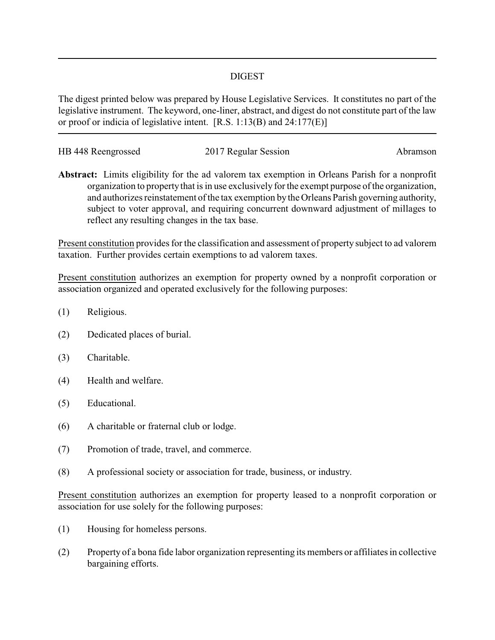## DIGEST

The digest printed below was prepared by House Legislative Services. It constitutes no part of the legislative instrument. The keyword, one-liner, abstract, and digest do not constitute part of the law or proof or indicia of legislative intent. [R.S. 1:13(B) and 24:177(E)]

| HB 448 Reengrossed | 2017 Regular Session | Abramson |
|--------------------|----------------------|----------|
|                    |                      |          |

**Abstract:** Limits eligibility for the ad valorem tax exemption in Orleans Parish for a nonprofit organization to property that is in use exclusively for the exempt purpose of the organization, and authorizes reinstatement of the tax exemption by the Orleans Parish governing authority, subject to voter approval, and requiring concurrent downward adjustment of millages to reflect any resulting changes in the tax base.

Present constitution provides for the classification and assessment of property subject to ad valorem taxation. Further provides certain exemptions to ad valorem taxes.

Present constitution authorizes an exemption for property owned by a nonprofit corporation or association organized and operated exclusively for the following purposes:

- (1) Religious.
- (2) Dedicated places of burial.
- (3) Charitable.
- (4) Health and welfare.
- (5) Educational.
- (6) A charitable or fraternal club or lodge.
- (7) Promotion of trade, travel, and commerce.
- (8) A professional society or association for trade, business, or industry.

Present constitution authorizes an exemption for property leased to a nonprofit corporation or association for use solely for the following purposes:

- (1) Housing for homeless persons.
- (2) Property of a bona fide labor organization representing its members or affiliates in collective bargaining efforts.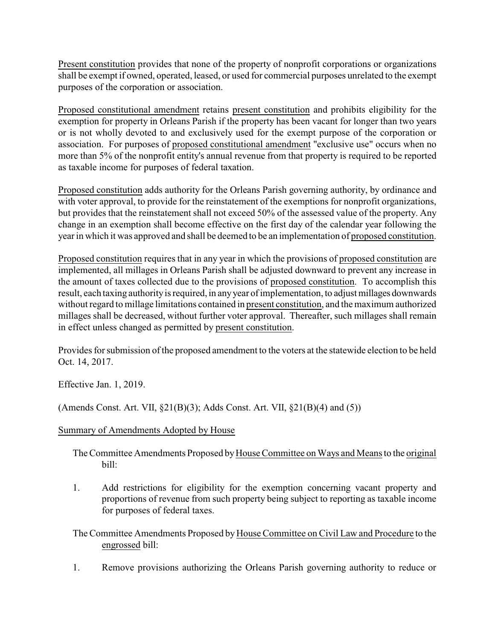Present constitution provides that none of the property of nonprofit corporations or organizations shall be exempt if owned, operated, leased, or used for commercial purposes unrelated to the exempt purposes of the corporation or association.

Proposed constitutional amendment retains present constitution and prohibits eligibility for the exemption for property in Orleans Parish if the property has been vacant for longer than two years or is not wholly devoted to and exclusively used for the exempt purpose of the corporation or association. For purposes of proposed constitutional amendment "exclusive use" occurs when no more than 5% of the nonprofit entity's annual revenue from that property is required to be reported as taxable income for purposes of federal taxation.

Proposed constitution adds authority for the Orleans Parish governing authority, by ordinance and with voter approval, to provide for the reinstatement of the exemptions for nonprofit organizations, but provides that the reinstatement shall not exceed 50% of the assessed value of the property. Any change in an exemption shall become effective on the first day of the calendar year following the year in which it was approved and shall be deemed to be an implementation of proposed constitution.

Proposed constitution requires that in any year in which the provisions of proposed constitution are implemented, all millages in Orleans Parish shall be adjusted downward to prevent any increase in the amount of taxes collected due to the provisions of proposed constitution. To accomplish this result, each taxing authority is required, in any year of implementation, to adjust millages downwards without regard to millage limitations contained in present constitution, and the maximum authorized millages shall be decreased, without further voter approval. Thereafter, such millages shall remain in effect unless changed as permitted by present constitution.

Provides for submission of the proposed amendment to the voters at the statewide election to be held Oct. 14, 2017.

Effective Jan. 1, 2019.

(Amends Const. Art. VII, §21(B)(3); Adds Const. Art. VII, §21(B)(4) and (5))

## Summary of Amendments Adopted by House

The Committee Amendments Proposed by House Committee on Ways and Means to the original bill:

1. Add restrictions for eligibility for the exemption concerning vacant property and proportions of revenue from such property being subject to reporting as taxable income for purposes of federal taxes.

The Committee Amendments Proposed by House Committee on Civil Law and Procedure to the engrossed bill:

1. Remove provisions authorizing the Orleans Parish governing authority to reduce or